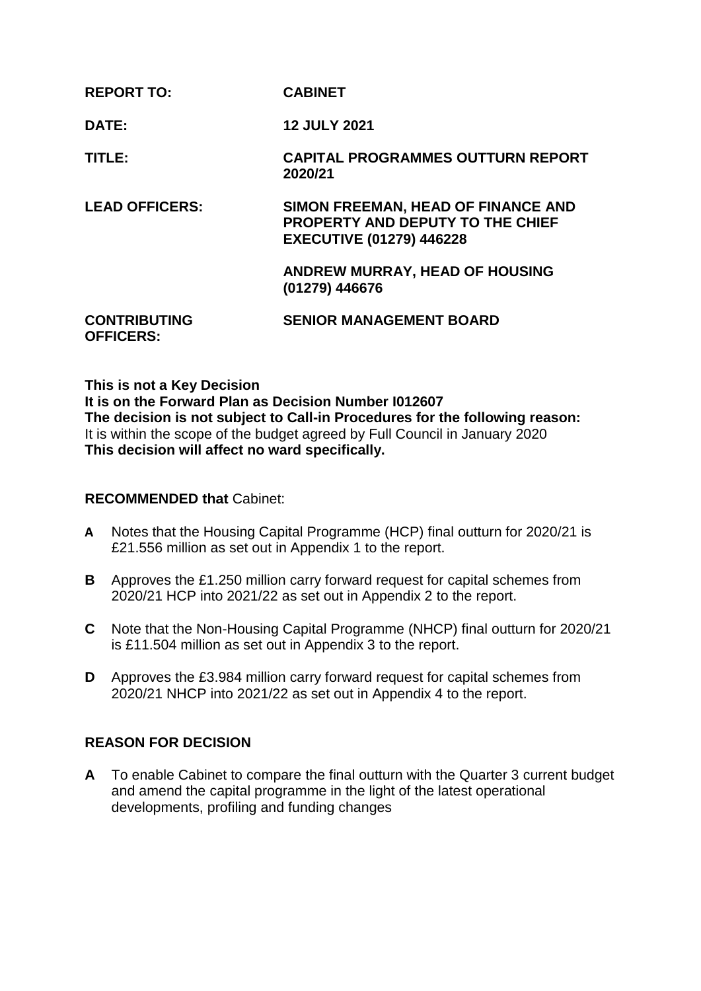| <b>REPORT TO:</b>                       | <b>CABINET</b>                                                                                                   |
|-----------------------------------------|------------------------------------------------------------------------------------------------------------------|
| DATE:                                   | <b>12 JULY 2021</b>                                                                                              |
| TITLE:                                  | <b>CAPITAL PROGRAMMES OUTTURN REPORT</b><br>2020/21                                                              |
| <b>LEAD OFFICERS:</b>                   | SIMON FREEMAN, HEAD OF FINANCE AND<br><b>PROPERTY AND DEPUTY TO THE CHIEF</b><br><b>EXECUTIVE (01279) 446228</b> |
|                                         | <b>ANDREW MURRAY, HEAD OF HOUSING</b><br>(01279) 446676                                                          |
| <b>CONTRIBUTING</b><br><b>OFFICERS:</b> | <b>SENIOR MANAGEMENT BOARD</b>                                                                                   |

**This is not a Key Decision It is on the Forward Plan as Decision Number I012607 The decision is not subject to Call-in Procedures for the following reason:** It is within the scope of the budget agreed by Full Council in January 2020 **This decision will affect no ward specifically.**

#### **RECOMMENDED that** Cabinet:

- **A** Notes that the Housing Capital Programme (HCP) final outturn for 2020/21 is £21.556 million as set out in Appendix 1 to the report.
- **B** Approves the £1.250 million carry forward request for capital schemes from 2020/21 HCP into 2021/22 as set out in Appendix 2 to the report.
- **C** Note that the Non-Housing Capital Programme (NHCP) final outturn for 2020/21 is £11.504 million as set out in Appendix 3 to the report.
- **D** Approves the £3.984 million carry forward request for capital schemes from 2020/21 NHCP into 2021/22 as set out in Appendix 4 to the report.

### **REASON FOR DECISION**

**A** To enable Cabinet to compare the final outturn with the Quarter 3 current budget and amend the capital programme in the light of the latest operational developments, profiling and funding changes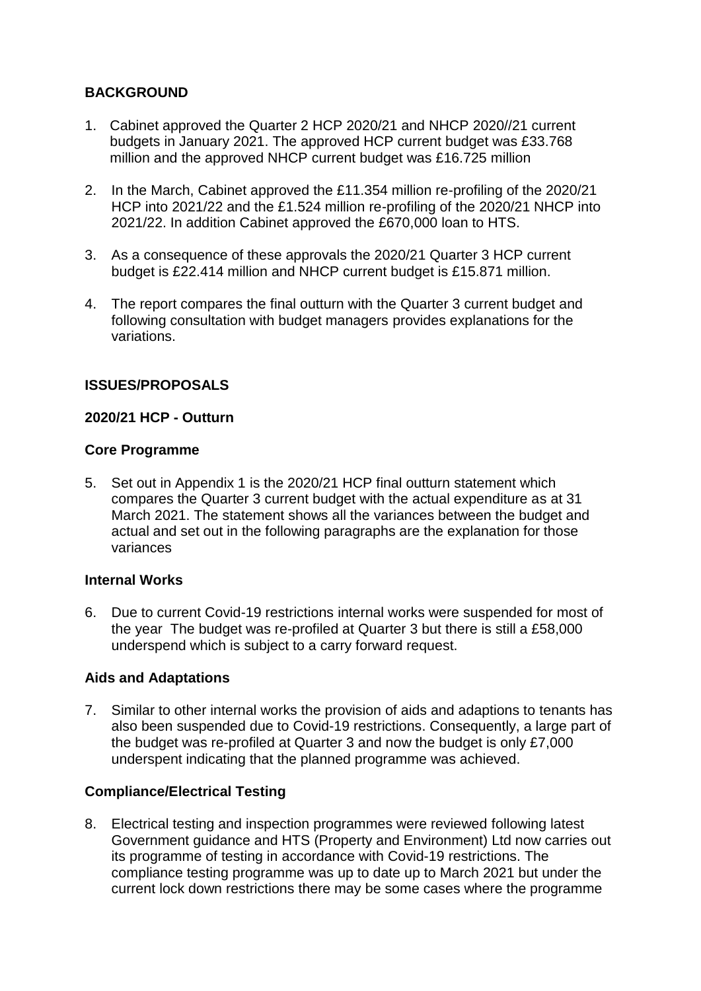# **BACKGROUND**

- 1. Cabinet approved the Quarter 2 HCP 2020/21 and NHCP 2020//21 current budgets in January 2021. The approved HCP current budget was £33.768 million and the approved NHCP current budget was £16.725 million
- 2. In the March, Cabinet approved the £11.354 million re-profiling of the 2020/21 HCP into 2021/22 and the £1.524 million re-profiling of the 2020/21 NHCP into 2021/22. In addition Cabinet approved the £670,000 loan to HTS.
- 3. As a consequence of these approvals the 2020/21 Quarter 3 HCP current budget is £22.414 million and NHCP current budget is £15.871 million.
- 4. The report compares the final outturn with the Quarter 3 current budget and following consultation with budget managers provides explanations for the variations.

# **ISSUES/PROPOSALS**

## **2020/21 HCP - Outturn**

### **Core Programme**

5. Set out in Appendix 1 is the 2020/21 HCP final outturn statement which compares the Quarter 3 current budget with the actual expenditure as at 31 March 2021. The statement shows all the variances between the budget and actual and set out in the following paragraphs are the explanation for those variances

### **Internal Works**

6. Due to current Covid-19 restrictions internal works were suspended for most of the year The budget was re-profiled at Quarter 3 but there is still a £58,000 underspend which is subject to a carry forward request.

# **Aids and Adaptations**

7. Similar to other internal works the provision of aids and adaptions to tenants has also been suspended due to Covid-19 restrictions. Consequently, a large part of the budget was re-profiled at Quarter 3 and now the budget is only £7,000 underspent indicating that the planned programme was achieved.

# **Compliance/Electrical Testing**

8. Electrical testing and inspection programmes were reviewed following latest Government guidance and HTS (Property and Environment) Ltd now carries out its programme of testing in accordance with Covid-19 restrictions. The compliance testing programme was up to date up to March 2021 but under the current lock down restrictions there may be some cases where the programme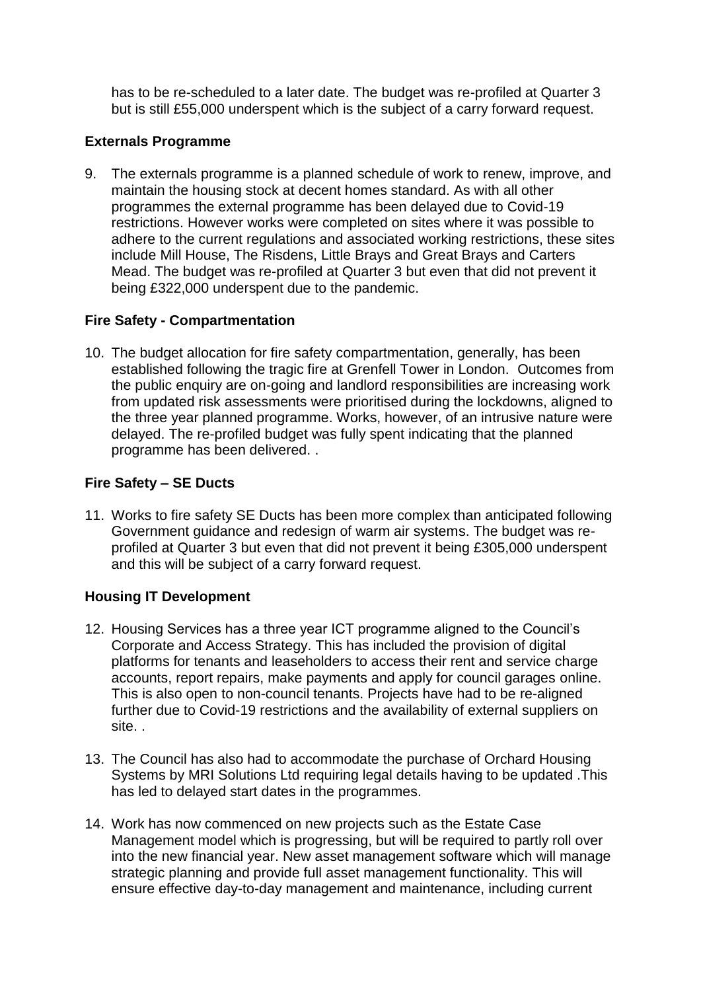has to be re-scheduled to a later date. The budget was re-profiled at Quarter 3 but is still £55,000 underspent which is the subject of a carry forward request.

## **Externals Programme**

9. The externals programme is a planned schedule of work to renew, improve, and maintain the housing stock at decent homes standard. As with all other programmes the external programme has been delayed due to Covid-19 restrictions. However works were completed on sites where it was possible to adhere to the current regulations and associated working restrictions, these sites include Mill House, The Risdens, Little Brays and Great Brays and Carters Mead. The budget was re-profiled at Quarter 3 but even that did not prevent it being £322,000 underspent due to the pandemic.

### **Fire Safety - Compartmentation**

10. The budget allocation for fire safety compartmentation, generally, has been established following the tragic fire at Grenfell Tower in London. Outcomes from the public enquiry are on-going and landlord responsibilities are increasing work from updated risk assessments were prioritised during the lockdowns, aligned to the three year planned programme. Works, however, of an intrusive nature were delayed. The re-profiled budget was fully spent indicating that the planned programme has been delivered. .

## **Fire Safety – SE Ducts**

11. Works to fire safety SE Ducts has been more complex than anticipated following Government guidance and redesign of warm air systems. The budget was reprofiled at Quarter 3 but even that did not prevent it being £305,000 underspent and this will be subject of a carry forward request.

### **Housing IT Development**

- 12. Housing Services has a three year ICT programme aligned to the Council's Corporate and Access Strategy. This has included the provision of digital platforms for tenants and leaseholders to access their rent and service charge accounts, report repairs, make payments and apply for council garages online. This is also open to non-council tenants. Projects have had to be re-aligned further due to Covid-19 restrictions and the availability of external suppliers on site. .
- 13. The Council has also had to accommodate the purchase of Orchard Housing Systems by MRI Solutions Ltd requiring legal details having to be updated .This has led to delayed start dates in the programmes.
- 14. Work has now commenced on new projects such as the Estate Case Management model which is progressing, but will be required to partly roll over into the new financial year. New asset management software which will manage strategic planning and provide full asset management functionality. This will ensure effective day-to-day management and maintenance, including current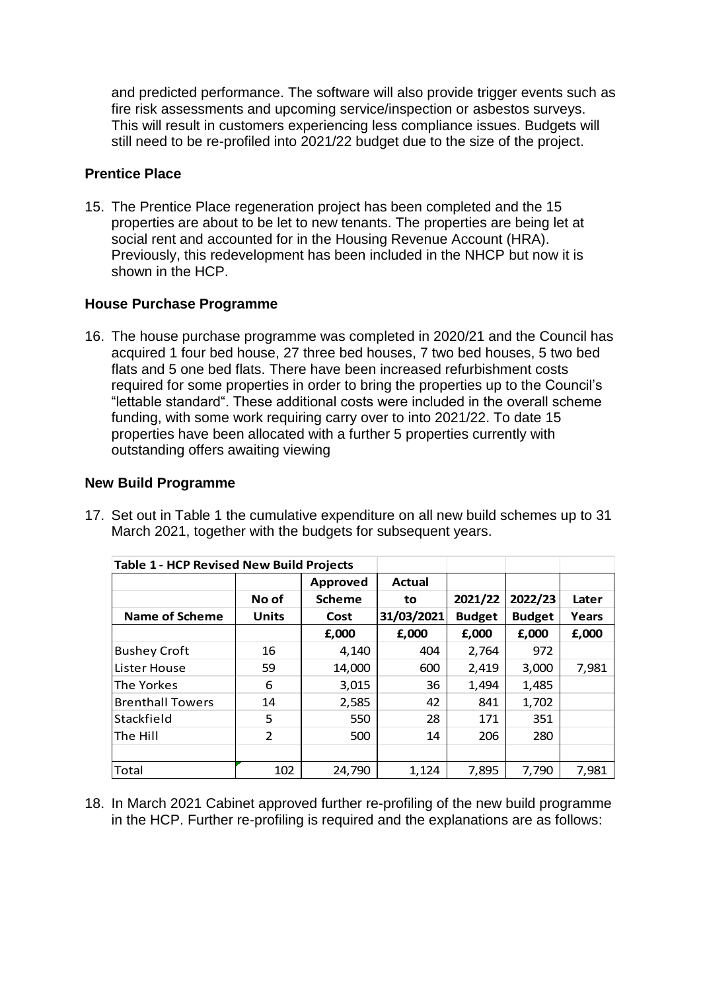and predicted performance. The software will also provide trigger events such as fire risk assessments and upcoming service/inspection or asbestos surveys. This will result in customers experiencing less compliance issues. Budgets will still need to be re-profiled into 2021/22 budget due to the size of the project.

## **Prentice Place**

15. The Prentice Place regeneration project has been completed and the 15 properties are about to be let to new tenants. The properties are being let at social rent and accounted for in the Housing Revenue Account (HRA). Previously, this redevelopment has been included in the NHCP but now it is shown in the HCP.

# **House Purchase Programme**

16. The house purchase programme was completed in 2020/21 and the Council has acquired 1 four bed house, 27 three bed houses, 7 two bed houses, 5 two bed flats and 5 one bed flats. There have been increased refurbishment costs required for some properties in order to bring the properties up to the Council's "lettable standard". These additional costs were included in the overall scheme funding, with some work requiring carry over to into 2021/22. To date 15 properties have been allocated with a further 5 properties currently with outstanding offers awaiting viewing

#### **New Build Programme**

| <b>Table 1 - HCP Revised New Build Projects</b> |                |                 |            |               |               |       |  |
|-------------------------------------------------|----------------|-----------------|------------|---------------|---------------|-------|--|
|                                                 |                | <b>Approved</b> | Actual     |               |               |       |  |
|                                                 | No of          | <b>Scheme</b>   | to         | 2021/22       | 2022/23       | Later |  |
| <b>Name of Scheme</b>                           | <b>Units</b>   | Cost            | 31/03/2021 | <b>Budget</b> | <b>Budget</b> | Years |  |
|                                                 |                | £,000           | £,000      | £,000         | £,000         | £,000 |  |
| <b>Bushey Croft</b>                             | 16             | 4,140           | 404        | 2,764         | 972           |       |  |
| Lister House                                    | 59             | 14,000          | 600        | 2,419         | 3,000         | 7,981 |  |
| The Yorkes                                      | 6              | 3,015           | 36         | 1,494         | 1,485         |       |  |
| <b>Brenthall Towers</b>                         | 14             | 2,585           | 42         | 841           | 1,702         |       |  |
| Stackfield                                      | 5              | 550             | 28         | 171           | 351           |       |  |
| The Hill                                        | $\overline{2}$ | 500             | 14         | 206           | 280           |       |  |
|                                                 |                |                 |            |               |               |       |  |
| Total                                           | 102            | 24,790          | 1,124      | 7,895         | 7,790         | 7,981 |  |

17. Set out in Table 1 the cumulative expenditure on all new build schemes up to 31 March 2021, together with the budgets for subsequent years.

18. In March 2021 Cabinet approved further re-profiling of the new build programme in the HCP. Further re-profiling is required and the explanations are as follows: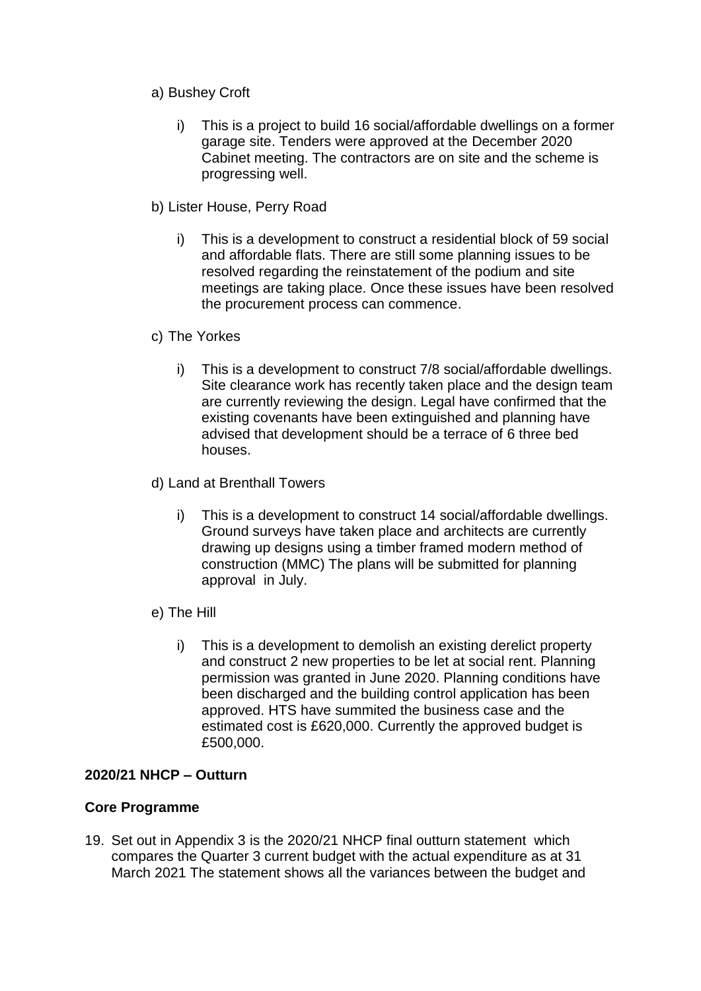- a) Bushey Croft
	- i) This is a project to build 16 social/affordable dwellings on a former garage site. Tenders were approved at the December 2020 Cabinet meeting. The contractors are on site and the scheme is progressing well.
- b) Lister House, Perry Road
	- i) This is a development to construct a residential block of 59 social and affordable flats. There are still some planning issues to be resolved regarding the reinstatement of the podium and site meetings are taking place. Once these issues have been resolved the procurement process can commence.
- c) The Yorkes
	- i) This is a development to construct 7/8 social/affordable dwellings. Site clearance work has recently taken place and the design team are currently reviewing the design. Legal have confirmed that the existing covenants have been extinguished and planning have advised that development should be a terrace of 6 three bed houses.
- d) Land at Brenthall Towers
	- i) This is a development to construct 14 social/affordable dwellings. Ground surveys have taken place and architects are currently drawing up designs using a timber framed modern method of construction (MMC) The plans will be submitted for planning approval in July.
- e) The Hill
	- i) This is a development to demolish an existing derelict property and construct 2 new properties to be let at social rent. Planning permission was granted in June 2020. Planning conditions have been discharged and the building control application has been approved. HTS have summited the business case and the estimated cost is £620,000. Currently the approved budget is £500,000.

### **2020/21 NHCP – Outturn**

### **Core Programme**

19. Set out in Appendix 3 is the 2020/21 NHCP final outturn statement which compares the Quarter 3 current budget with the actual expenditure as at 31 March 2021 The statement shows all the variances between the budget and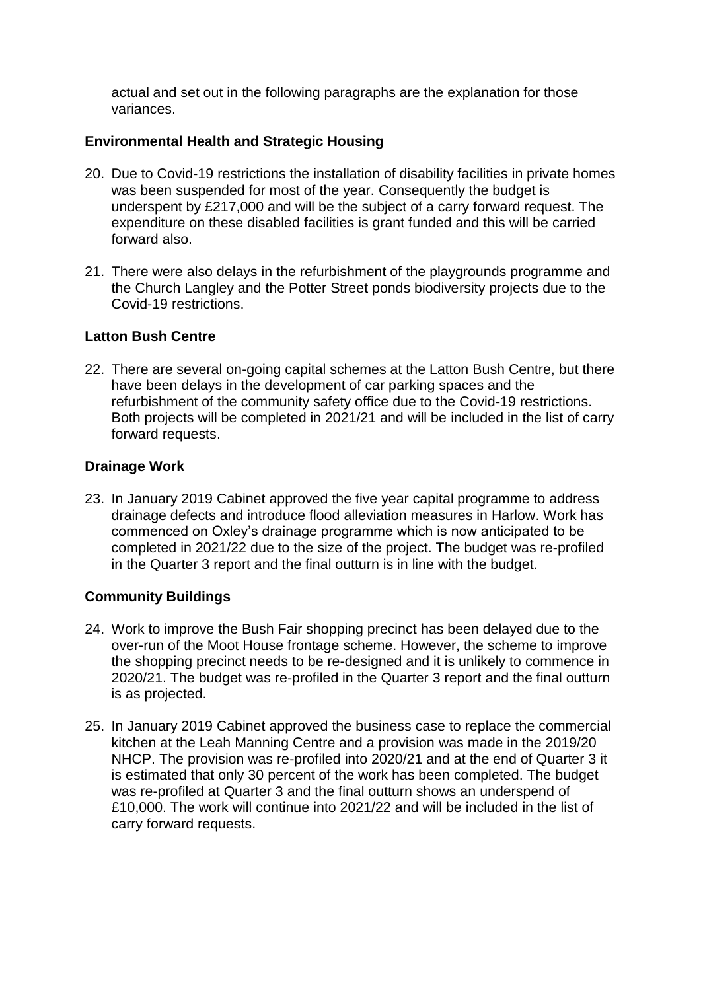actual and set out in the following paragraphs are the explanation for those variances.

## **Environmental Health and Strategic Housing**

- 20. Due to Covid-19 restrictions the installation of disability facilities in private homes was been suspended for most of the year. Consequently the budget is underspent by £217,000 and will be the subject of a carry forward request. The expenditure on these disabled facilities is grant funded and this will be carried forward also.
- 21. There were also delays in the refurbishment of the playgrounds programme and the Church Langley and the Potter Street ponds biodiversity projects due to the Covid-19 restrictions.

## **Latton Bush Centre**

22. There are several on-going capital schemes at the Latton Bush Centre, but there have been delays in the development of car parking spaces and the refurbishment of the community safety office due to the Covid-19 restrictions. Both projects will be completed in 2021/21 and will be included in the list of carry forward requests.

## **Drainage Work**

23. In January 2019 Cabinet approved the five year capital programme to address drainage defects and introduce flood alleviation measures in Harlow. Work has commenced on Oxley's drainage programme which is now anticipated to be completed in 2021/22 due to the size of the project. The budget was re-profiled in the Quarter 3 report and the final outturn is in line with the budget.

# **Community Buildings**

- 24. Work to improve the Bush Fair shopping precinct has been delayed due to the over-run of the Moot House frontage scheme. However, the scheme to improve the shopping precinct needs to be re-designed and it is unlikely to commence in 2020/21. The budget was re-profiled in the Quarter 3 report and the final outturn is as projected.
- 25. In January 2019 Cabinet approved the business case to replace the commercial kitchen at the Leah Manning Centre and a provision was made in the 2019/20 NHCP. The provision was re-profiled into 2020/21 and at the end of Quarter 3 it is estimated that only 30 percent of the work has been completed. The budget was re-profiled at Quarter 3 and the final outturn shows an underspend of £10,000. The work will continue into 2021/22 and will be included in the list of carry forward requests.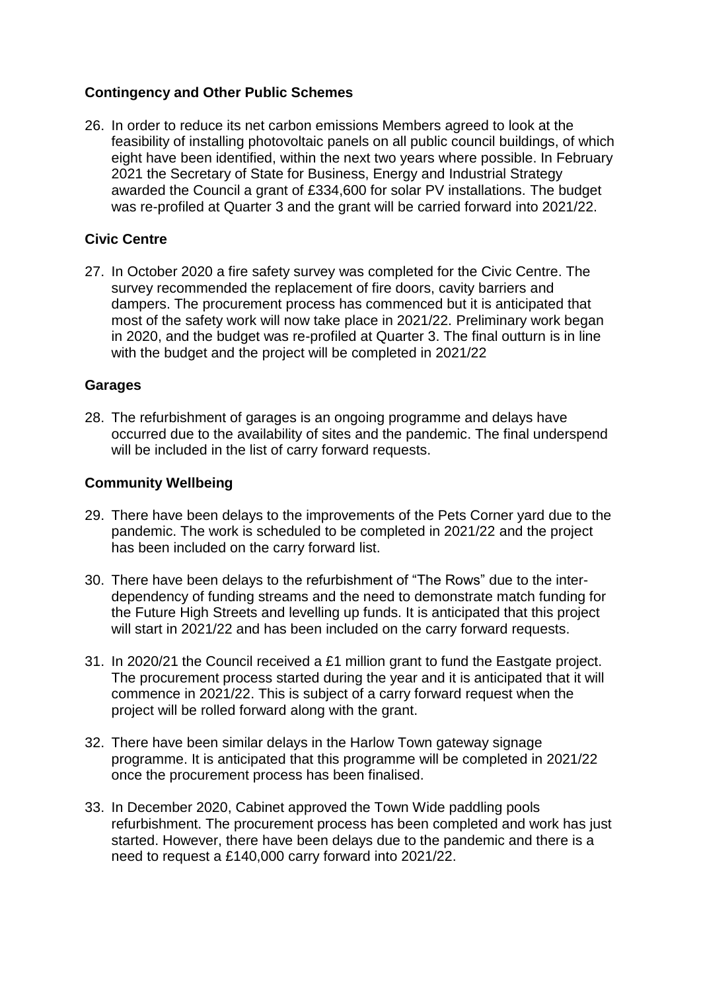## **Contingency and Other Public Schemes**

26. In order to reduce its net carbon emissions Members agreed to look at the feasibility of installing photovoltaic panels on all public council buildings, of which eight have been identified, within the next two years where possible. In February 2021 the Secretary of State for Business, Energy and Industrial Strategy awarded the Council a grant of £334,600 for solar PV installations. The budget was re-profiled at Quarter 3 and the grant will be carried forward into 2021/22.

## **Civic Centre**

27. In October 2020 a fire safety survey was completed for the Civic Centre. The survey recommended the replacement of fire doors, cavity barriers and dampers. The procurement process has commenced but it is anticipated that most of the safety work will now take place in 2021/22. Preliminary work began in 2020, and the budget was re-profiled at Quarter 3. The final outturn is in line with the budget and the project will be completed in 2021/22

### **Garages**

28. The refurbishment of garages is an ongoing programme and delays have occurred due to the availability of sites and the pandemic. The final underspend will be included in the list of carry forward requests.

### **Community Wellbeing**

- 29. There have been delays to the improvements of the Pets Corner yard due to the pandemic. The work is scheduled to be completed in 2021/22 and the project has been included on the carry forward list.
- 30. There have been delays to the refurbishment of "The Rows" due to the interdependency of funding streams and the need to demonstrate match funding for the Future High Streets and levelling up funds. It is anticipated that this project will start in 2021/22 and has been included on the carry forward requests.
- 31. In 2020/21 the Council received a £1 million grant to fund the Eastgate project. The procurement process started during the year and it is anticipated that it will commence in 2021/22. This is subject of a carry forward request when the project will be rolled forward along with the grant.
- 32. There have been similar delays in the Harlow Town gateway signage programme. It is anticipated that this programme will be completed in 2021/22 once the procurement process has been finalised.
- 33. In December 2020, Cabinet approved the Town Wide paddling pools refurbishment. The procurement process has been completed and work has just started. However, there have been delays due to the pandemic and there is a need to request a £140,000 carry forward into 2021/22.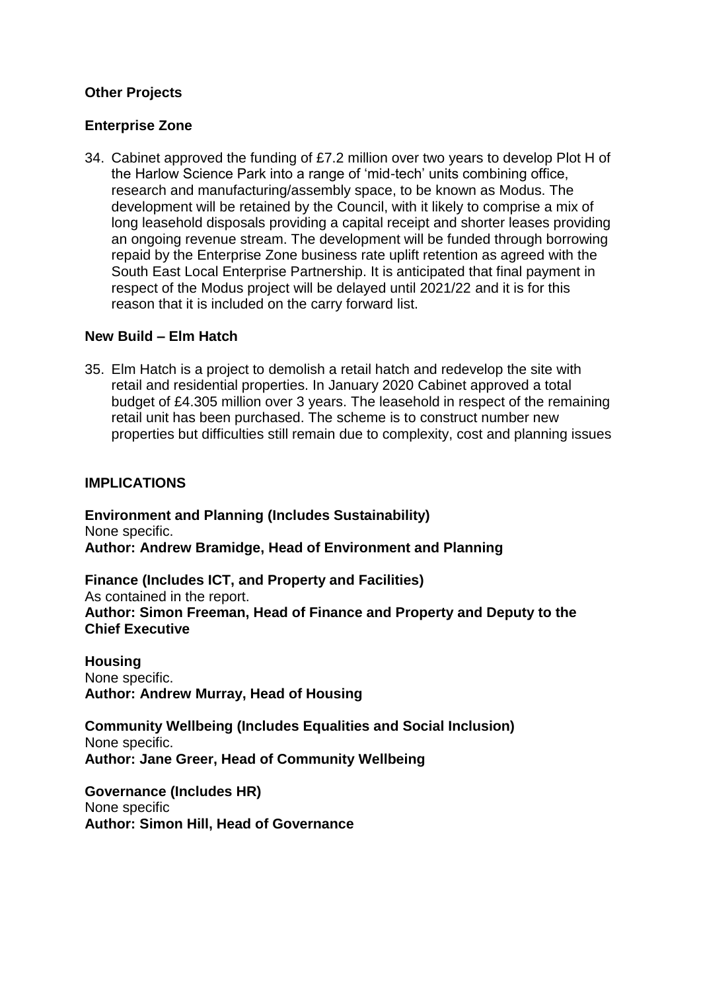## **Other Projects**

### **Enterprise Zone**

34. Cabinet approved the funding of £7.2 million over two years to develop Plot H of the Harlow Science Park into a range of 'mid-tech' units combining office, research and manufacturing/assembly space, to be known as Modus. The development will be retained by the Council, with it likely to comprise a mix of long leasehold disposals providing a capital receipt and shorter leases providing an ongoing revenue stream. The development will be funded through borrowing repaid by the Enterprise Zone business rate uplift retention as agreed with the South East Local Enterprise Partnership. It is anticipated that final payment in respect of the Modus project will be delayed until 2021/22 and it is for this reason that it is included on the carry forward list.

### **New Build – Elm Hatch**

35. Elm Hatch is a project to demolish a retail hatch and redevelop the site with retail and residential properties. In January 2020 Cabinet approved a total budget of £4.305 million over 3 years. The leasehold in respect of the remaining retail unit has been purchased. The scheme is to construct number new properties but difficulties still remain due to complexity, cost and planning issues

### **IMPLICATIONS**

**Environment and Planning (Includes Sustainability)** None specific. **Author: Andrew Bramidge, Head of Environment and Planning** 

**Finance (Includes ICT, and Property and Facilities)** As contained in the report. **Author: Simon Freeman, Head of Finance and Property and Deputy to the Chief Executive**

**Housing** None specific. **Author: Andrew Murray, Head of Housing**

**Community Wellbeing (Includes Equalities and Social Inclusion)** None specific. **Author: Jane Greer, Head of Community Wellbeing**

**Governance (Includes HR)** None specific **Author: Simon Hill, Head of Governance**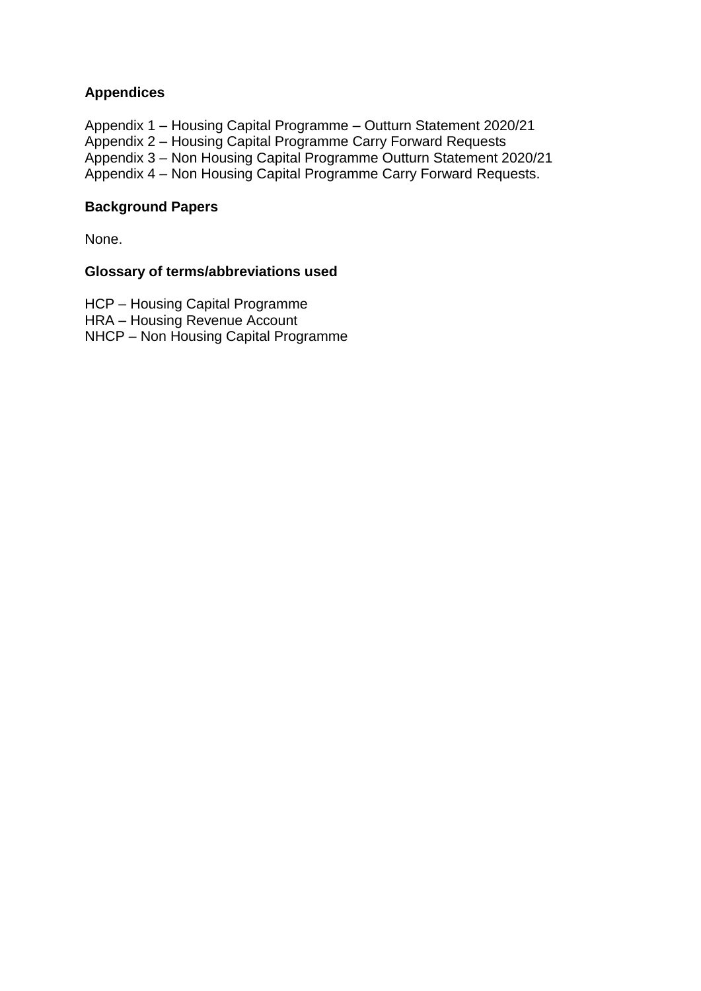# **Appendices**

Appendix 1 – Housing Capital Programme – Outturn Statement 2020/21

Appendix 2 – Housing Capital Programme Carry Forward Requests

Appendix 3 – Non Housing Capital Programme Outturn Statement 2020/21

Appendix 4 – Non Housing Capital Programme Carry Forward Requests.

## **Background Papers**

None.

## **Glossary of terms/abbreviations used**

HCP – Housing Capital Programme

HRA – Housing Revenue Account

NHCP – Non Housing Capital Programme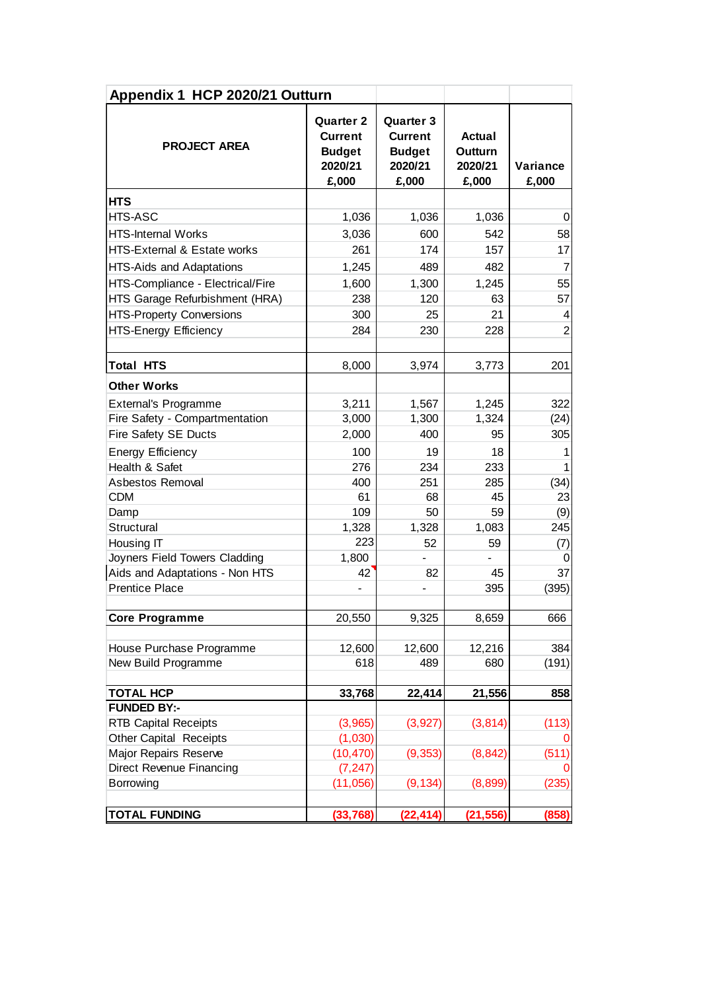| Appendix 1 HCP 2020/21 Outturn   |                                                                         |                                                                         |                                       |                   |  |  |
|----------------------------------|-------------------------------------------------------------------------|-------------------------------------------------------------------------|---------------------------------------|-------------------|--|--|
| <b>PROJECT AREA</b>              | <b>Quarter 2</b><br><b>Current</b><br><b>Budget</b><br>2020/21<br>£,000 | <b>Quarter 3</b><br><b>Current</b><br><b>Budget</b><br>2020/21<br>£,000 | Actual<br>Outturn<br>2020/21<br>£,000 | Variance<br>£,000 |  |  |
| <b>HTS</b>                       |                                                                         |                                                                         |                                       |                   |  |  |
| <b>HTS-ASC</b>                   | 1,036                                                                   | 1,036                                                                   | 1,036                                 | 0                 |  |  |
| <b>HTS-Internal Works</b>        | 3,036                                                                   | 600                                                                     | 542                                   | 58                |  |  |
| HTS-External & Estate works      | 261                                                                     | 174                                                                     | 157                                   | 17                |  |  |
| HTS-Aids and Adaptations         | 1,245                                                                   | 489                                                                     | 482                                   | $\overline{7}$    |  |  |
| HTS-Compliance - Electrical/Fire | 1,600                                                                   | 1,300                                                                   | 1,245                                 | 55                |  |  |
| HTS Garage Refurbishment (HRA)   | 238                                                                     | 120                                                                     | 63                                    | 57                |  |  |
| <b>HTS-Property Conversions</b>  | 300                                                                     | 25                                                                      | 21                                    | 4                 |  |  |
| <b>HTS-Energy Efficiency</b>     | 284                                                                     | 230                                                                     | 228                                   | $\overline{2}$    |  |  |
|                                  |                                                                         |                                                                         |                                       |                   |  |  |
| <b>Total HTS</b>                 | 8,000                                                                   | 3,974                                                                   | 3,773                                 | 201               |  |  |
| <b>Other Works</b>               |                                                                         |                                                                         |                                       |                   |  |  |
| <b>External's Programme</b>      | 3,211                                                                   | 1,567                                                                   | 1,245                                 | 322               |  |  |
| Fire Safety - Compartmentation   | 3,000                                                                   | 1,300                                                                   | 1,324                                 | (24)              |  |  |
| Fire Safety SE Ducts             | 2,000                                                                   | 400                                                                     | 95                                    | 305               |  |  |
| <b>Energy Efficiency</b>         | 100                                                                     | 19                                                                      | 18                                    |                   |  |  |
| Health & Safet                   | 276                                                                     | 234                                                                     | 233                                   |                   |  |  |
| Asbestos Removal                 | 400                                                                     | 251                                                                     | 285                                   | (34)              |  |  |
| <b>CDM</b>                       | 61                                                                      | 68                                                                      | 45                                    | 23                |  |  |
| Damp                             | 109                                                                     | 50                                                                      | 59                                    | (9)               |  |  |
| Structural                       | 1,328                                                                   | 1,328                                                                   | 1,083                                 | 245               |  |  |
| Housing IT                       | 223                                                                     | 52                                                                      | 59                                    | (7)               |  |  |
| Joyners Field Towers Cladding    | 1,800                                                                   |                                                                         |                                       | 0                 |  |  |
| Aids and Adaptations - Non HTS   | 42                                                                      | 82                                                                      | 45                                    | 37                |  |  |
| <b>Prentice Place</b>            |                                                                         |                                                                         | 395                                   | (395)             |  |  |
| <b>Core Programme</b>            | 20,550                                                                  | 9,325                                                                   | 8,659                                 | 666               |  |  |
|                                  |                                                                         |                                                                         |                                       |                   |  |  |
| House Purchase Programme         | 12,600                                                                  | 12,600                                                                  | 12,216                                | 384               |  |  |
| New Build Programme              | 618                                                                     | 489                                                                     | 680                                   | (191)             |  |  |
| <b>TOTAL HCP</b>                 | 33,768                                                                  | 22,414                                                                  | 21,556                                | 858               |  |  |
| <b>FUNDED BY:-</b>               |                                                                         |                                                                         |                                       |                   |  |  |
| <b>RTB Capital Receipts</b>      | (3,965)                                                                 | (3, 927)                                                                | (3, 814)                              | (113)             |  |  |
| <b>Other Capital Receipts</b>    | (1,030)                                                                 |                                                                         |                                       |                   |  |  |
| Major Repairs Reserve            | (10, 470)                                                               | (9, 353)                                                                | (8, 842)                              | (511)             |  |  |
| Direct Revenue Financing         | (7, 247)                                                                |                                                                         |                                       | O                 |  |  |
| Borrowing                        | (11,056)                                                                | (9, 134)                                                                | (8,899)                               | (235)             |  |  |
| <b>TOTAL FUNDING</b>             | (33, 768)                                                               | (22, 414)                                                               | (21, 556)                             | (858)             |  |  |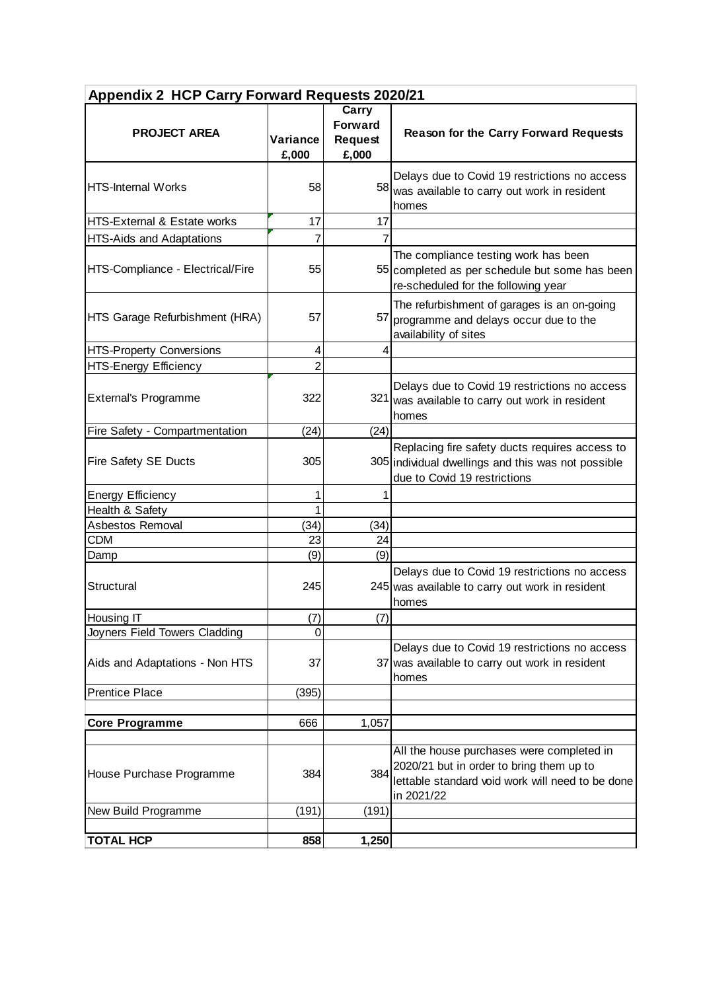| <b>Appendix 2 HCP Carry Forward Requests 2020/21</b> |                   |                                                    |                                                                                                                                                         |  |  |
|------------------------------------------------------|-------------------|----------------------------------------------------|---------------------------------------------------------------------------------------------------------------------------------------------------------|--|--|
| <b>PROJECT AREA</b>                                  | Variance<br>£,000 | Carry<br><b>Forward</b><br><b>Request</b><br>£,000 | <b>Reason for the Carry Forward Requests</b>                                                                                                            |  |  |
| <b>HTS-Internal Works</b>                            | 58                |                                                    | Delays due to Covid 19 restrictions no access<br>58 was available to carry out work in resident<br>homes                                                |  |  |
| <b>HTS-External &amp; Estate works</b>               | 17                | 17                                                 |                                                                                                                                                         |  |  |
| <b>HTS-Aids and Adaptations</b>                      | $\overline{7}$    | $\overline{7}$                                     |                                                                                                                                                         |  |  |
| HTS-Compliance - Electrical/Fire                     | 55                |                                                    | The compliance testing work has been<br>55 completed as per schedule but some has been<br>re-scheduled for the following year                           |  |  |
| HTS Garage Refurbishment (HRA)                       | 57                |                                                    | The refurbishment of garages is an on-going<br>57 programme and delays occur due to the<br>availability of sites                                        |  |  |
| <b>HTS-Property Conversions</b>                      | 4                 | 4                                                  |                                                                                                                                                         |  |  |
| <b>HTS-Energy Efficiency</b>                         | $\overline{2}$    |                                                    |                                                                                                                                                         |  |  |
| <b>External's Programme</b>                          | 322               |                                                    | Delays due to Covid 19 restrictions no access<br>321 was available to carry out work in resident<br>homes                                               |  |  |
| Fire Safety - Compartmentation                       | (24)              | (24)                                               |                                                                                                                                                         |  |  |
| <b>Fire Safety SE Ducts</b>                          | 305               |                                                    | Replacing fire safety ducts requires access to<br>305 individual dwellings and this was not possible<br>due to Covid 19 restrictions                    |  |  |
| <b>Energy Efficiency</b>                             | 1                 | 1                                                  |                                                                                                                                                         |  |  |
| Health & Safety                                      | 1                 |                                                    |                                                                                                                                                         |  |  |
| Asbestos Removal                                     | (34)              | (34)                                               |                                                                                                                                                         |  |  |
| <b>CDM</b>                                           | 23                | 24                                                 |                                                                                                                                                         |  |  |
| Damp                                                 | (9)               | (9)                                                |                                                                                                                                                         |  |  |
| Structural                                           | 245               |                                                    | Delays due to Covid 19 restrictions no access<br>245 was available to carry out work in resident<br>homes                                               |  |  |
| Housing IT                                           | (7)               | (7)                                                |                                                                                                                                                         |  |  |
| Joyners Field Towers Cladding                        | $\Omega$          |                                                    |                                                                                                                                                         |  |  |
| Aids and Adaptations - Non HTS                       | 37                |                                                    | Delays due to Covid 19 restrictions no access<br>37 was available to carry out work in resident<br>homes                                                |  |  |
| <b>Prentice Place</b>                                | (395)             |                                                    |                                                                                                                                                         |  |  |
|                                                      |                   |                                                    |                                                                                                                                                         |  |  |
| <b>Core Programme</b>                                | 666               | 1,057                                              |                                                                                                                                                         |  |  |
| House Purchase Programme                             | 384               | 384                                                | All the house purchases were completed in<br>2020/21 but in order to bring them up to<br>lettable standard void work will need to be done<br>in 2021/22 |  |  |
| New Build Programme                                  | (191)             | (191)                                              |                                                                                                                                                         |  |  |
|                                                      |                   |                                                    |                                                                                                                                                         |  |  |
| <b>TOTAL HCP</b>                                     | 858               | 1,250                                              |                                                                                                                                                         |  |  |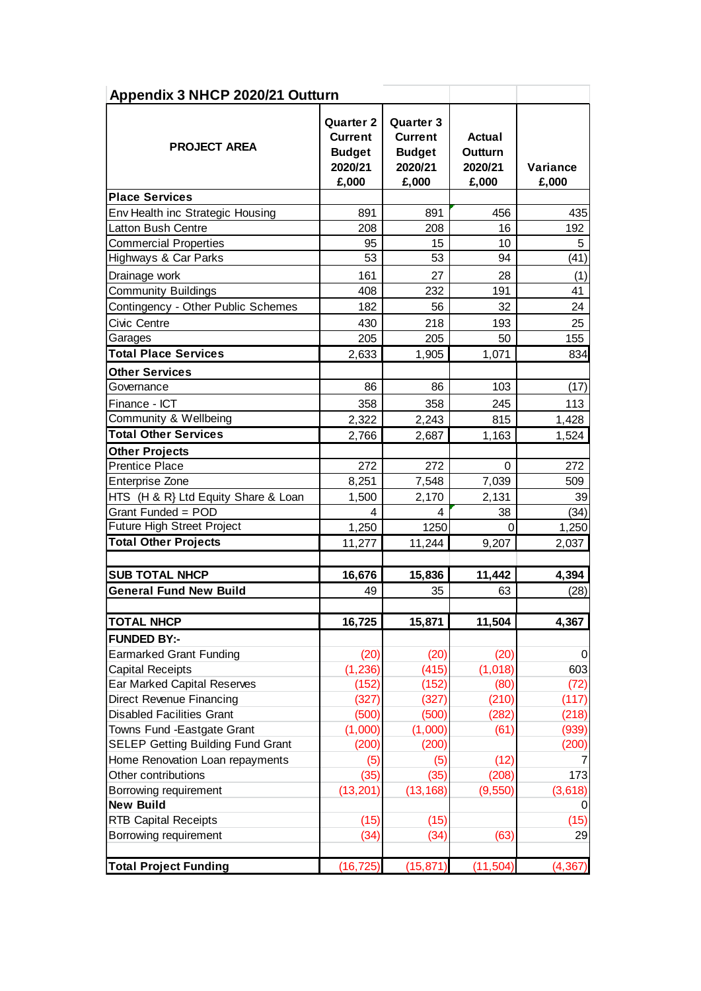| <b>PROJECT AREA</b>                      | <b>Quarter 2</b><br><b>Current</b><br><b>Budget</b><br>2020/21<br>£,000 | Quarter 3<br><b>Current</b><br><b>Budget</b><br>2020/21<br>£,000 | Actual<br>Outturn<br>2020/21<br>£,000 | Variance<br>£,000 |
|------------------------------------------|-------------------------------------------------------------------------|------------------------------------------------------------------|---------------------------------------|-------------------|
| <b>Place Services</b>                    |                                                                         |                                                                  |                                       |                   |
| Env Health inc Strategic Housing         | 891                                                                     | 891                                                              | 456                                   |                   |
| <b>Latton Bush Centre</b>                | 208                                                                     | 208                                                              | 16                                    |                   |
| <b>Commercial Properties</b>             | 95                                                                      | 15                                                               | 10                                    |                   |
| Highways & Car Parks                     | 53                                                                      | 53                                                               | 94                                    |                   |
| Drainage work                            | 161                                                                     | 27                                                               | 28                                    |                   |
| <b>Community Buildings</b>               | 408                                                                     | 232                                                              | 191                                   |                   |
| Contingency - Other Public Schemes       | 182                                                                     | 56                                                               | 32                                    |                   |
| Civic Centre                             | 430                                                                     | 218                                                              | 193                                   |                   |
| Garages                                  | 205                                                                     | 205                                                              | 50                                    |                   |
| <b>Total Place Services</b>              | 2,633                                                                   | 1,905                                                            | 1,071                                 |                   |
| <b>Other Services</b>                    |                                                                         |                                                                  |                                       |                   |
| Governance                               | 86                                                                      | 86                                                               | 103                                   |                   |
| Finance - ICT                            | 358                                                                     | 358                                                              | 245                                   |                   |
| Community & Wellbeing                    |                                                                         |                                                                  |                                       |                   |
| <b>Total Other Services</b>              | 2,322                                                                   | 2,243                                                            | 815                                   | 1,428             |
|                                          | 2,766                                                                   | 2,687                                                            | 1,163                                 | 1,524             |
| <b>Other Projects</b>                    |                                                                         |                                                                  |                                       |                   |
| <b>Prentice Place</b>                    | 272                                                                     | 272                                                              | $\mathbf 0$                           |                   |
| Enterprise Zone                          | 8,251                                                                   | 7,548                                                            | 7,039                                 |                   |
| HTS (H & R} Ltd Equity Share & Loan      | 1,500                                                                   | 2,170                                                            | 2,131                                 |                   |
| Grant Funded = POD                       | 4                                                                       | 4                                                                | 38                                    |                   |
| Future High Street Project               | 1,250                                                                   | 1250                                                             | 0                                     | 1,250             |
| <b>Total Other Projects</b>              | 11,277                                                                  | 11,244                                                           | 9,207                                 | 2,037             |
|                                          |                                                                         |                                                                  |                                       |                   |
| <b>SUB TOTAL NHCP</b>                    | 16,676                                                                  | 15,836                                                           | 11,442                                | 4,394             |
| <b>General Fund New Build</b>            | 49                                                                      | 35                                                               | 63                                    |                   |
| <b>TOTAL NHCP</b>                        | 16,725                                                                  | 15,871                                                           | 11,504                                | 4,367             |
| <b>FUNDED BY:-</b>                       |                                                                         |                                                                  |                                       |                   |
| <b>Earmarked Grant Funding</b>           | (20)                                                                    | (20)                                                             | (20)                                  |                   |
| <b>Capital Receipts</b>                  | (1, 236)                                                                | (415)                                                            | (1,018)                               |                   |
| Ear Marked Capital Reserves              | (152)                                                                   | (152)                                                            | (80)                                  |                   |
| Direct Revenue Financing                 | (327)                                                                   | (327)                                                            | (210)                                 | (117)             |
| <b>Disabled Facilities Grant</b>         | (500)                                                                   | (500)                                                            | (282)                                 | (218)             |
| Towns Fund - Eastgate Grant              | (1,000)                                                                 | (1,000)                                                          | (61)                                  | (939)             |
| <b>SELEP Getting Building Fund Grant</b> | (200)                                                                   | (200)                                                            |                                       | (200)             |
| Home Renovation Loan repayments          | (5)                                                                     | (5)                                                              | (12)                                  |                   |
| Other contributions                      | (35)                                                                    | (35)                                                             | (208)                                 |                   |
| Borrowing requirement                    | (13, 201)                                                               | (13, 168)                                                        | (9,550)                               | (3,618)           |
| <b>New Build</b>                         |                                                                         |                                                                  |                                       |                   |
| <b>RTB Capital Receipts</b>              | (15)                                                                    | (15)                                                             |                                       |                   |
| Borrowing requirement                    | (34)                                                                    | (34)                                                             | (63)                                  |                   |
|                                          |                                                                         |                                                                  |                                       |                   |
|                                          |                                                                         | (15, 871)                                                        | (11, 504)                             |                   |